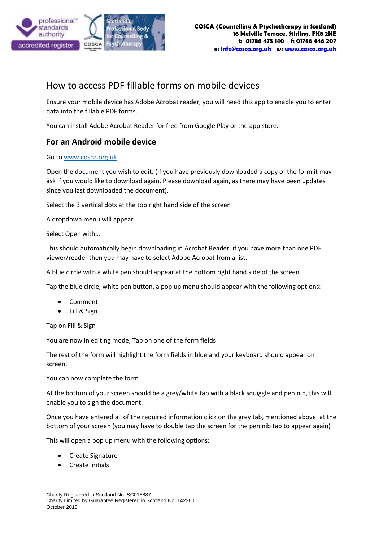

## How to access PDF fillable forms on mobile devices

Ensure your mobile device has Adobe Acrobat reader, you will need this app to enable you to enter data into the fillable PDF forms.

You can install Adobe Acrobat Reader for free from Google Play or the app store.

## **For an Android mobile device**

## Go to [www.cosca.org.uk](http://www.cosca.org.uk/)

Open the document you wish to edit. (If you have previously downloaded a copy of the form it may ask if you would like to download again. Please download again, as there may have been updates since you last downloaded the document).

Select the 3 vertical dots at the top right hand side of the screen

A dropdown menu will appear

Select Open with…

This should automatically begin downloading in Acrobat Reader, if you have more than one PDF viewer/reader then you may have to select Adobe Acrobat from a list.

A blue circle with a white pen should appear at the bottom right hand side of the screen.

Tap the blue circle, white pen button, a pop up menu should appear with the following options:

- Comment
- Fill & Sign

Tap on Fill & Sign

You are now in editing mode, Tap on one of the form fields

The rest of the form will highlight the form fields in blue and your keyboard should appear on screen.

You can now complete the form

At the bottom of your screen should be a grey/white tab with a black squiggle and pen nib, this will enable you to sign the document.

Once you have entered all of the required information click on the grey tab, mentioned above, at the bottom of your screen (you may have to double tap the screen for the pen nib tab to appear again)

This will open a pop up menu with the following options:

- Create Signature
- Create Initials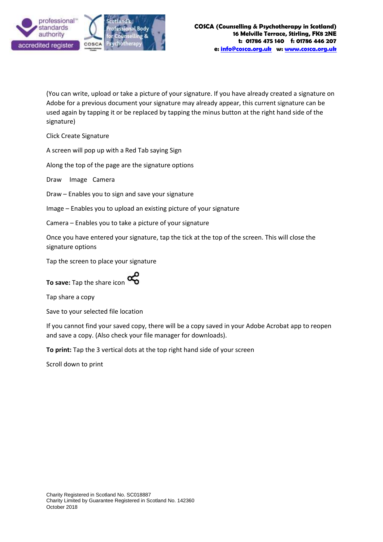

(You can write, upload or take a picture of your signature. If you have already created a signature on Adobe for a previous document your signature may already appear, this current signature can be used again by tapping it or be replaced by tapping the minus button at the right hand side of the signature)

Click Create Signature

A screen will pop up with a Red Tab saying Sign

Along the top of the page are the signature options

Draw Image Camera

Draw – Enables you to sign and save your signature

Image – Enables you to upload an existing picture of your signature

Camera – Enables you to take a picture of your signature

Once you have entered your signature, tap the tick at the top of the screen. This will close the signature options

Tap the screen to place your signature



Tap share a copy

Save to your selected file location

If you cannot find your saved copy, there will be a copy saved in your Adobe Acrobat app to reopen and save a copy. (Also check your file manager for downloads).

**To print:** Tap the 3 vertical dots at the top right hand side of your screen

Scroll down to print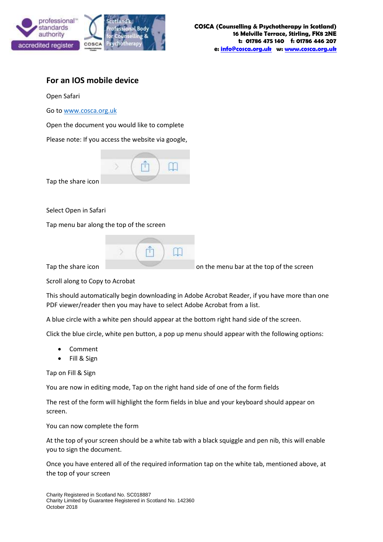

## **For an IOS mobile device**

Open Safari

Go to [www.cosca.org.uk](http://www.cosca.org.uk/)

Open the document you would like to complete

Please note: If you access the website via google,



Tap the share icon

Select Open in Safari

Tap menu bar along the top of the screen

|  | . .<br> |  |
|--|---------|--|
|  |         |  |

Tap the share icon on the menu bar at the top of the screen

Scroll along to Copy to Acrobat

This should automatically begin downloading in Adobe Acrobat Reader, if you have more than one PDF viewer/reader then you may have to select Adobe Acrobat from a list.

A blue circle with a white pen should appear at the bottom right hand side of the screen.

Click the blue circle, white pen button, a pop up menu should appear with the following options:

- Comment
- Fill & Sign

Tap on Fill & Sign

You are now in editing mode, Tap on the right hand side of one of the form fields

The rest of the form will highlight the form fields in blue and your keyboard should appear on screen.

You can now complete the form

At the top of your screen should be a white tab with a black squiggle and pen nib, this will enable you to sign the document.

Once you have entered all of the required information tap on the white tab, mentioned above, at the top of your screen